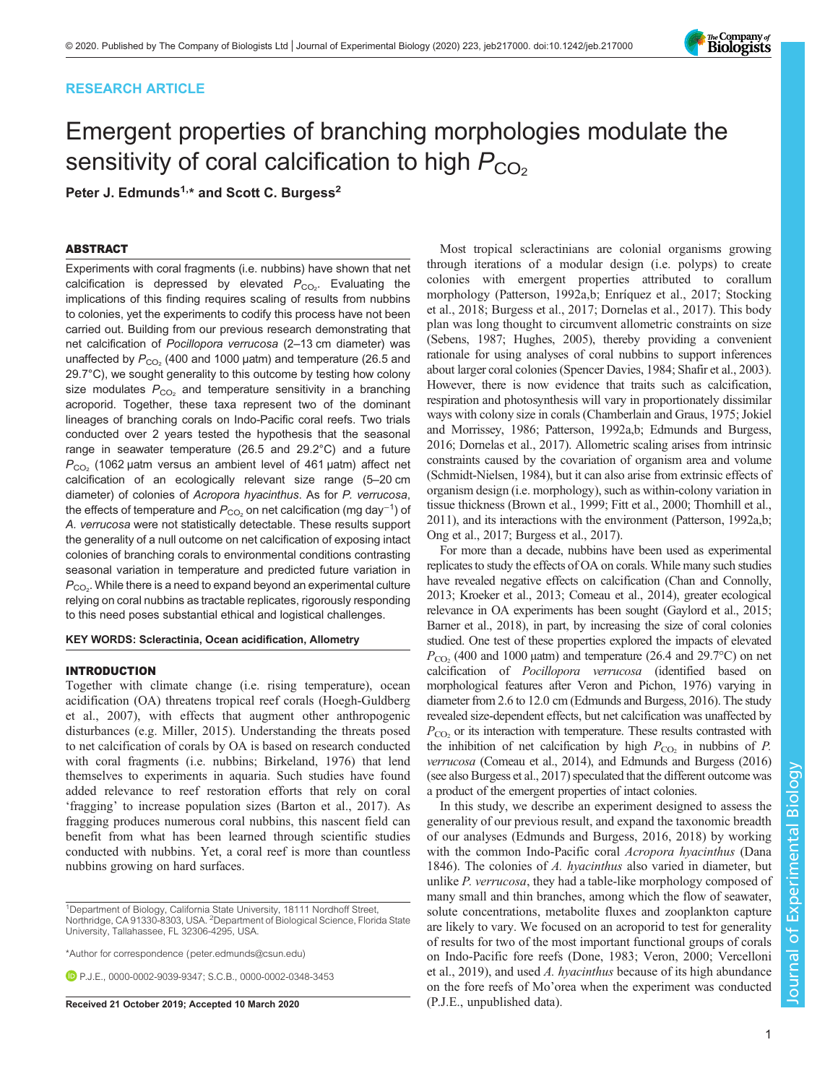## RESEARCH ARTICLE

# Emergent properties of branching morphologies modulate the sensitivity of coral calcification to high  $P_{CO<sub>2</sub>}$

Peter J. Edmunds<sup>1,\*</sup> and Scott C. Burgess<sup>2</sup>

## ABSTRACT

Experiments with coral fragments (i.e. nubbins) have shown that net calcification is depressed by elevated  $P_{\rm CO_2}$ . Evaluating the implications of this finding requires scaling of results from nubbins to colonies, yet the experiments to codify this process have not been carried out. Building from our previous research demonstrating that net calcification of Pocillopora verrucosa (2–13 cm diameter) was unaffected by  $P_{CO_2}$  (400 and 1000 µatm) and temperature (26.5 and 29.7°C), we sought generality to this outcome by testing how colony size modulates  $P_{CO_2}$  and temperature sensitivity in a branching acroporid. Together, these taxa represent two of the dominant lineages of branching corals on Indo-Pacific coral reefs. Two trials conducted over 2 years tested the hypothesis that the seasonal range in seawater temperature (26.5 and 29.2°C) and a future  $P_{CO<sub>2</sub>}$  (1062 µatm versus an ambient level of 461 µatm) affect net calcification of an ecologically relevant size range (5–20 cm diameter) of colonies of Acropora hyacinthus. As for P. verrucosa, the effects of temperature and  $P_{\rm CO_2}$  on net calcification (mg day<sup>−1</sup>) of A. verrucosa were not statistically detectable. These results support the generality of a null outcome on net calcification of exposing intact colonies of branching corals to environmental conditions contrasting seasonal variation in temperature and predicted future variation in  $P_{\rm CO_2}$ . While there is a need to expand beyond an experimental culture relying on coral nubbins as tractable replicates, rigorously responding to this need poses substantial ethical and logistical challenges.

KEY WORDS: Scleractinia, Ocean acidification, Allometry

## INTRODUCTION

Together with climate change (i.e. rising temperature), ocean acidification (OA) threatens tropical reef corals ([Hoegh-Guldberg](#page-5-0) [et al., 2007](#page-5-0)), with effects that augment other anthropogenic disturbances (e.g. [Miller, 2015\)](#page-5-0). Understanding the threats posed to net calcification of corals by OA is based on research conducted with coral fragments (i.e. nubbins; [Birkeland, 1976\)](#page-4-0) that lend themselves to experiments in aquaria. Such studies have found added relevance to reef restoration efforts that rely on coral 'fragging' to increase population sizes [\(Barton et al., 2017](#page-4-0)). As fragging produces numerous coral nubbins, this nascent field can benefit from what has been learned through scientific studies conducted with nubbins. Yet, a coral reef is more than countless nubbins growing on hard surfaces.

\*Author for correspondence [\(peter.edmunds@csun.edu](mailto:peter.edmunds@csun.edu))

P.J.E., [0000-0002-9039-9347](http://orcid.org/0000-0002-9039-9347); S.C.B., [0000-0002-0348-3453](http://orcid.org/0000-0002-0348-3453)

Received 21 October 2019; Accepted 10 March 2020 (P.J.E., unpublished data).

Most tropical scleractinians are colonial organisms growing through iterations of a modular design (i.e. polyps) to create colonies with emergent properties attributed to corallum morphology ([Patterson, 1992a,b; Enríquez et al., 2017](#page-5-0); [Stocking](#page-5-0) [et al., 2018](#page-5-0); [Burgess et al., 2017](#page-4-0); [Dornelas et al., 2017\)](#page-5-0). This body plan was long thought to circumvent allometric constraints on size [\(Sebens, 1987](#page-5-0); [Hughes, 2005\)](#page-5-0), thereby providing a convenient rationale for using analyses of coral nubbins to support inferences about larger coral colonies [\(Spencer Davies, 1984](#page-5-0); [Shafir et al., 2003\)](#page-5-0). However, there is now evidence that traits such as calcification, respiration and photosynthesis will vary in proportionately dissimilar ways with colony size in corals [\(Chamberlain and Graus, 1975; Jokiel](#page-5-0) [and Morrissey, 1986; Patterson, 1992a,b; Edmunds and Burgess,](#page-5-0) [2016](#page-5-0); [Dornelas et al., 2017\)](#page-5-0). Allometric scaling arises from intrinsic constraints caused by the covariation of organism area and volume [\(Schmidt-Nielsen, 1984](#page-5-0)), but it can also arise from extrinsic effects of organism design (i.e. morphology), such as within-colony variation in tissue thickness [\(Brown et al., 1999;](#page-4-0) [Fitt et al., 2000](#page-5-0); [Thornhill et al.,](#page-5-0) [2011](#page-5-0)), and its interactions with the environment [\(Patterson, 1992a,b](#page-5-0); [Ong et al., 2017;](#page-5-0) [Burgess et al., 2017](#page-4-0)).

For more than a decade, nubbins have been used as experimental replicates to study the effects of OA on corals. While many such studies have revealed negative effects on calcification [\(Chan and Connolly,](#page-5-0) [2013](#page-5-0); [Kroeker et al., 2013](#page-5-0); [Comeau et al., 2014\)](#page-5-0), greater ecological relevance in OA experiments has been sought ([Gaylord et al., 2015](#page-5-0); [Barner et al., 2018](#page-4-0)), in part, by increasing the size of coral colonies studied. One test of these properties explored the impacts of elevated  $P_{\rm CO}$ , (400 and 1000 µatm) and temperature (26.4 and 29.7°C) on net calcification of Pocillopora verrucosa (identified based on morphological features after [Veron and Pichon, 1976\)](#page-5-0) varying in diameter from 2.6 to 12.0 cm ([Edmunds and Burgess, 2016\)](#page-5-0). The study revealed size-dependent effects, but net calcification was unaffected by  $P_{\rm CO}$  or its interaction with temperature. These results contrasted with the inhibition of net calcification by high  $P_{\text{CO}_2}$  in nubbins of P. verrucosa ([Comeau et al., 2014\)](#page-5-0), and [Edmunds and Burgess \(2016\)](#page-5-0) (see also [Burgess et al., 2017\)](#page-4-0) speculated that the different outcome was a product of the emergent properties of intact colonies.

In this study, we describe an experiment designed to assess the generality of our previous result, and expand the taxonomic breadth of our analyses [\(Edmunds and Burgess, 2016](#page-5-0), [2018](#page-5-0)) by working with the common Indo-Pacific coral Acropora hyacinthus (Dana 1846). The colonies of A. hyacinthus also varied in diameter, but unlike P. verrucosa, they had a table-like morphology composed of many small and thin branches, among which the flow of seawater, solute concentrations, metabolite fluxes and zooplankton capture are likely to vary. We focused on an acroporid to test for generality of results for two of the most important functional groups of corals on Indo-Pacific fore reefs [\(Done, 1983; Veron, 2000](#page-5-0); [Vercelloni](#page-5-0) [et al., 2019\)](#page-5-0), and used A. hyacinthus because of its high abundance on the fore reefs of Mo'orea when the experiment was conducted



<sup>&</sup>lt;sup>1</sup>Department of Biology, California State University, 18111 Nordhoff Street, Northridge, CA 91330-8303, USA. <sup>2</sup>Department of Biological Science, Florida State University, Tallahassee, FL 32306-4295, USA.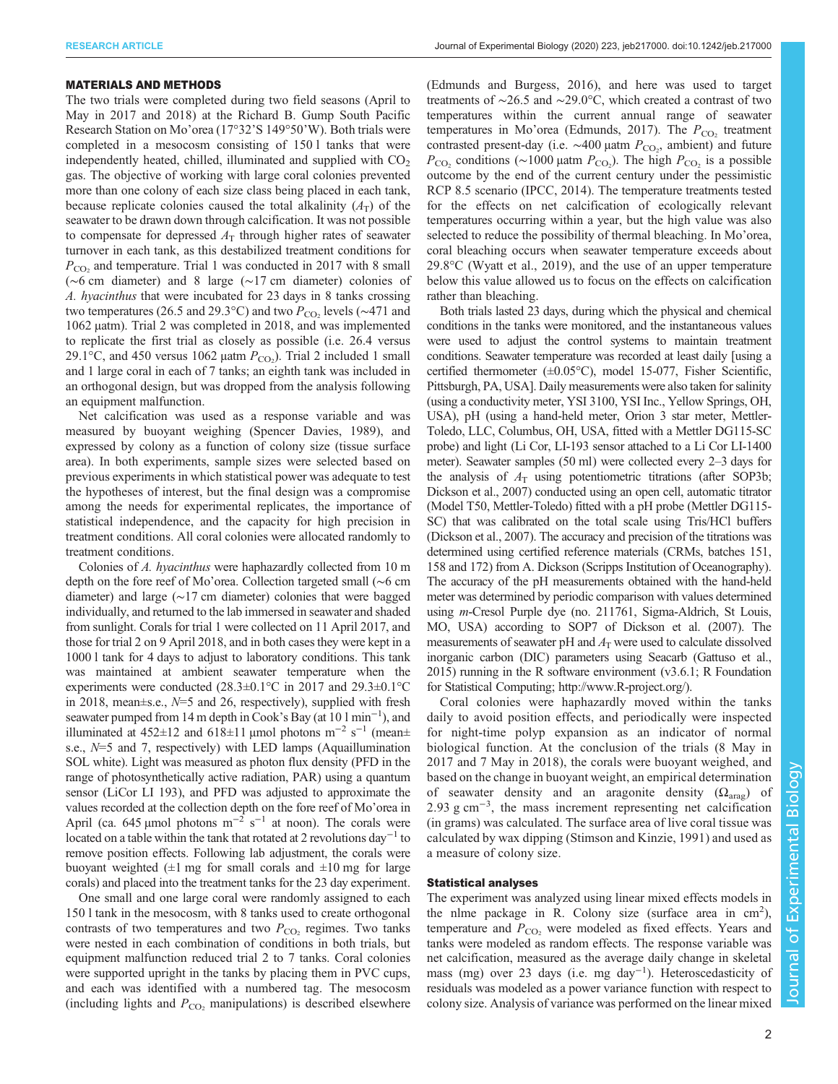#### MATERIALS AND METHODS

The two trials were completed during two field seasons (April to May in 2017 and 2018) at the Richard B. Gump South Pacific Research Station on Mo'orea (17°32'S 149°50'W). Both trials were completed in a mesocosm consisting of 150 l tanks that were independently heated, chilled, illuminated and supplied with  $CO<sub>2</sub>$ gas. The objective of working with large coral colonies prevented more than one colony of each size class being placed in each tank, because replicate colonies caused the total alkalinity  $(A_T)$  of the seawater to be drawn down through calcification. It was not possible to compensate for depressed  $A<sub>T</sub>$  through higher rates of seawater turnover in each tank, as this destabilized treatment conditions for  $P_{\rm CO}$ , and temperature. Trial 1 was conducted in 2017 with 8 small (∼6 cm diameter) and 8 large (∼17 cm diameter) colonies of A. hyacinthus that were incubated for 23 days in 8 tanks crossing two temperatures (26.5 and 29.3°C) and two  $P_{\text{CO}_2}$  levels (∼471 and 1062 µatm). Trial 2 was completed in 2018, and was implemented to replicate the first trial as closely as possible (i.e. 26.4 versus 29.1 $\degree$ C, and 450 versus 1062 µatm  $P_{\text{CO}_2}$ ). Trial 2 included 1 small and 1 large coral in each of 7 tanks; an eighth tank was included in an orthogonal design, but was dropped from the analysis following an equipment malfunction.

Net calcification was used as a response variable and was measured by buoyant weighing [\(Spencer Davies, 1989\)](#page-5-0), and expressed by colony as a function of colony size (tissue surface area). In both experiments, sample sizes were selected based on previous experiments in which statistical power was adequate to test the hypotheses of interest, but the final design was a compromise among the needs for experimental replicates, the importance of statistical independence, and the capacity for high precision in treatment conditions. All coral colonies were allocated randomly to treatment conditions.

Colonies of A. hyacinthus were haphazardly collected from 10 m depth on the fore reef of Mo'orea. Collection targeted small (∼6 cm diameter) and large (∼17 cm diameter) colonies that were bagged individually, and returned to the lab immersed in seawater and shaded from sunlight. Corals for trial 1 were collected on 11 April 2017, and those for trial 2 on 9 April 2018, and in both cases they were kept in a 1000 l tank for 4 days to adjust to laboratory conditions. This tank was maintained at ambient seawater temperature when the experiments were conducted (28.3±0.1°C in 2017 and 29.3±0.1°C in 2018, mean $\pm$ s.e.,  $N=5$  and 26, respectively), supplied with fresh seawater pumped from 14 m depth in Cook's Bay (at 10 l min<sup>-1</sup>), and illuminated at 452±12 and 618±11 μmol photons m<sup>-2</sup> s<sup>-1</sup> (mean± s.e.,  $N=5$  and 7, respectively) with LED lamps (Aquaillumination SOL white). Light was measured as photon flux density (PFD in the range of photosynthetically active radiation, PAR) using a quantum sensor (LiCor LI 193), and PFD was adjusted to approximate the values recorded at the collection depth on the fore reef of Mo'orea in April (ca. 645 µmol photons m<sup>-2</sup> s<sup>-1</sup> at noon). The corals were located on a table within the tank that rotated at 2 revolutions day<sup>-1</sup> to remove position effects. Following lab adjustment, the corals were buoyant weighted  $(\pm 1 \text{ mg}$  for small corals and  $\pm 10 \text{ mg}$  for large corals) and placed into the treatment tanks for the 23 day experiment.

One small and one large coral were randomly assigned to each 150 l tank in the mesocosm, with 8 tanks used to create orthogonal contrasts of two temperatures and two  $P_{\text{CO}_2}$  regimes. Two tanks were nested in each combination of conditions in both trials, but equipment malfunction reduced trial 2 to 7 tanks. Coral colonies were supported upright in the tanks by placing them in PVC cups, and each was identified with a numbered tag. The mesocosm (including lights and  $P_{\text{CO}_2}$  manipulations) is described elsewhere

[\(Edmunds and Burgess, 2016\)](#page-5-0), and here was used to target treatments of ∼26.5 and ∼29.0°C, which created a contrast of two temperatures within the current annual range of seawater temperatures in Mo'orea ([Edmunds, 2017\)](#page-5-0). The  $P_{CO_2}$  treatment contrasted present-day (i.e.  $\sim$ 400 μatm  $P_{CO_2}$ , ambient) and future  $P_{\text{CO}_2}$  conditions (~1000 µatm  $P_{\text{CO}_2}$ ). The high  $P_{\text{CO}_2}$  is a possible outcome by the end of the current century under the pessimistic RCP 8.5 scenario [\(IPCC, 2014](#page-5-0)). The temperature treatments tested for the effects on net calcification of ecologically relevant temperatures occurring within a year, but the high value was also selected to reduce the possibility of thermal bleaching. In Mo'orea, coral bleaching occurs when seawater temperature exceeds about 29.8°C [\(Wyatt et al., 2019](#page-5-0)), and the use of an upper temperature below this value allowed us to focus on the effects on calcification rather than bleaching.

Both trials lasted 23 days, during which the physical and chemical conditions in the tanks were monitored, and the instantaneous values were used to adjust the control systems to maintain treatment conditions. Seawater temperature was recorded at least daily [using a certified thermometer  $(\pm 0.05^{\circ}C)$ , model 15-077, Fisher Scientific, Pittsburgh, PA, USA]. Daily measurements were also taken for salinity (using a conductivity meter, YSI 3100, YSI Inc., Yellow Springs, OH, USA), pH (using a hand-held meter, Orion 3 star meter, Mettler-Toledo, LLC, Columbus, OH, USA, fitted with a Mettler DG115-SC probe) and light (Li Cor, LI-193 sensor attached to a Li Cor LI-1400 meter). Seawater samples (50 ml) were collected every 2–3 days for the analysis of  $A<sub>T</sub>$  using potentiometric titrations (after SOP3b; [Dickson et al., 2007\)](#page-5-0) conducted using an open cell, automatic titrator (Model T50, Mettler-Toledo) fitted with a pH probe (Mettler DG115- SC) that was calibrated on the total scale using Tris/HCl buffers [\(Dickson et al., 2007\)](#page-5-0). The accuracy and precision of the titrations was determined using certified reference materials (CRMs, batches 151, 158 and 172) from A. Dickson (Scripps Institution of Oceanography). The accuracy of the pH measurements obtained with the hand-held meter was determined by periodic comparison with values determined using m-Cresol Purple dye (no. 211761, Sigma-Aldrich, St Louis, MO, USA) according to SOP7 of [Dickson et al. \(2007\).](#page-5-0) The measurements of seawater pH and  $A<sub>T</sub>$  were used to calculate dissolved inorganic carbon (DIC) parameters using Seacarb ([Gattuso et al.,](#page-5-0) [2015](#page-5-0)) running in the R software environment (v3.6.1; R Foundation for Statistical Computing; [http://www.R-project.org/\)](http://www.R-project.org/).

Coral colonies were haphazardly moved within the tanks daily to avoid position effects, and periodically were inspected for night-time polyp expansion as an indicator of normal biological function. At the conclusion of the trials (8 May in 2017 and 7 May in 2018), the corals were buoyant weighed, and based on the change in buoyant weight, an empirical determination of seawater density and an aragonite density  $(\Omega_{\text{area}})$  of 2.93 g cm<sup>-3</sup>, the mass increment representing net calcification (in grams) was calculated. The surface area of live coral tissue was calculated by wax dipping ([Stimson and Kinzie, 1991\)](#page-5-0) and used as a measure of colony size.

## Statistical analyses

The experiment was analyzed using linear mixed effects models in the nlme package in R. Colony size (surface area in cm<sup>2</sup>), temperature and  $P_{CO_2}$  were modeled as fixed effects. Years and tanks were modeled as random effects. The response variable was net calcification, measured as the average daily change in skeletal mass (mg) over 23 days (i.e. mg day<sup>-1</sup>). Heteroscedasticity of residuals was modeled as a power variance function with respect to colony size. Analysis of variance was performed on the linear mixed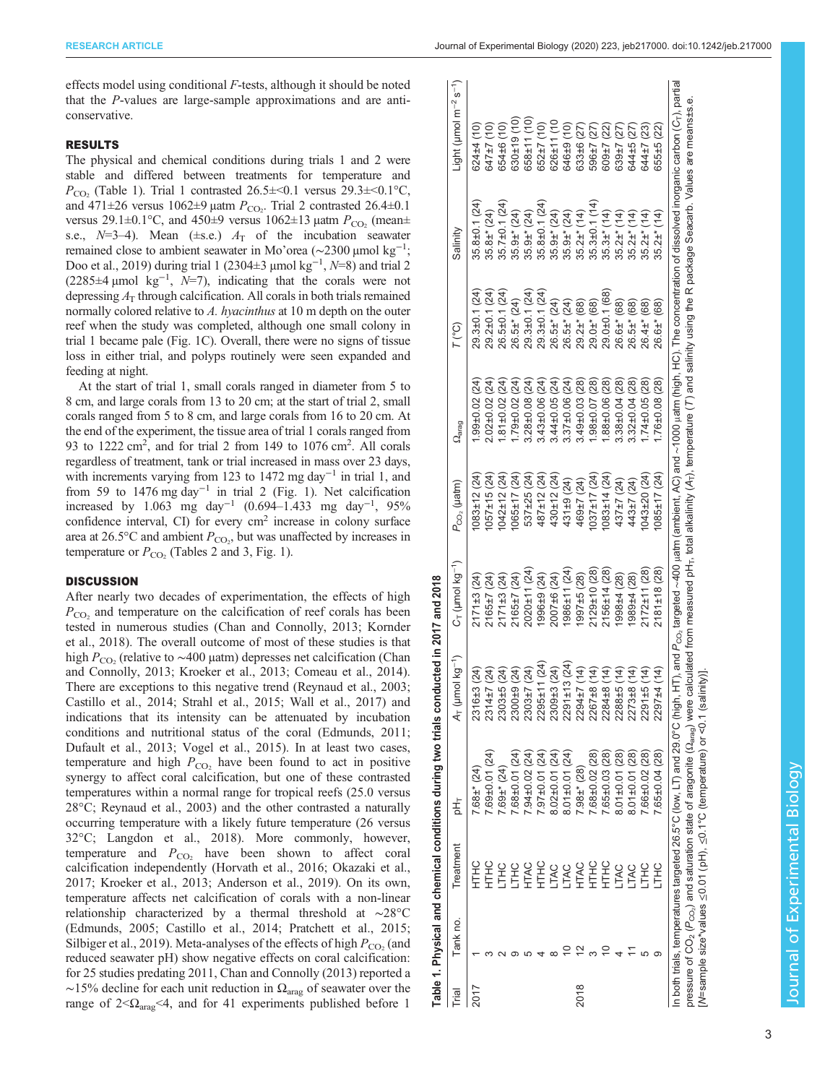effects model using conditional  $F$ -tests, although it should be noted that the P-values are large-sample approximations and are anticonservative.

## RESULTS

The physical and chemical conditions during trials 1 and 2 were stable and differed between treatments for temperature and  $P_{\rm CO_2}$  (Table 1). Trial 1 contrasted 26.5 $\pm$ <0.1 versus 29.3 $\pm$ <0.1 °C, and 471 $\pm$ 26 versus 1062 $\pm$ 9 µatm  $P_{\text{CO}_2}$ . Trial 2 contrasted 26.4 $\pm$ 0.1 versus 29.1 $\pm$ 0.1°C, and 450 $\pm$ 9 versus 1062 $\pm$ 13 µatm  $P_{\rm CO}$ , (mean $\pm$ s.e.,  $N=3-4$ ). Mean ( $\pm$ s.e.)  $A_T$  of the incubation seawater remained close to ambient seawater in Mo'orea (∼2300 µmol kg−<sup>1</sup> ; [Doo et al., 2019\)](#page-5-0) during trial 1 (2304±3 µmol kg<sup>-1</sup>,  $N=8$ ) and trial 2 (2285 $\pm$ 4 µmol kg<sup>-1</sup>, N=7), indicating that the corals were not depressing  $A_T$  through calcification. All corals in both trials remained normally colored relative to A. hyacinthus at 10 m depth on the outer reef when the study was completed, although one small colony in trial 1 became pale [\(Fig. 1](#page-3-0)C). Overall, there were no signs of tissue loss in either trial, and polyps routinely were seen expanded and feeding at night.

At the start of trial 1, small corals ranged in diameter from 5 to 8 cm, and large corals from 13 to 20 cm; at the start of trial 2, small corals ranged from 5 to 8 cm, and large corals from 16 to 20 cm. At the end of the experiment, the tissue area of trial 1 corals ranged from 93 to  $1222 \text{ cm}^2$ , and for trial 2 from 149 to  $1076 \text{ cm}^2$ . All corals regardless of treatment, tank or trial increased in mass over 23 days, with increments varying from 123 to 1472 mg day<sup>-1</sup> in trial 1, and from 59 to 1476 mg day−<sup>1</sup> in trial 2 ([Fig. 1\)](#page-3-0). Net calcification increased by 1.063 mg day<sup>-1</sup> (0.694–1.433 mg day<sup>-1</sup>, 95% confidence interval, CI) for every cm<sup>2</sup> increase in colony surface area at 26.5 $\degree$ C and ambient  $P_{\text{CO}_2}$ , but was unaffected by increases in temperature or  $P_{CO_2}$  [\(Tables 2](#page-3-0) and [3](#page-4-0), [Fig. 1](#page-3-0)).

## **DISCUSSION**

After nearly two decades of experimentation, the effects of high  $P_{\rm CO_2}$  and temperature on the calcification of reef corals has been tested in numerous studies ([Chan and Connolly, 2013; Kornder](#page-5-0) [et al., 2018\)](#page-5-0). The overall outcome of most of these studies is that high  $P_{CO_2}$  (relative to ~400 µatm) depresses net calcification ([Chan](#page-5-0) [and Connolly, 2013](#page-5-0); [Kroeker et al., 2013](#page-5-0); [Comeau et al., 2014\)](#page-5-0). There are exceptions to this negative trend [\(Reynaud et al., 2003](#page-5-0); [Castillo et al., 2014;](#page-4-0) [Strahl et al., 2015](#page-5-0); [Wall et al., 2017](#page-5-0)) and indications that its intensity can be attenuated by incubation conditions and nutritional status of the coral [\(Edmunds, 2011](#page-5-0); [Dufault et al., 2013; Vogel et al., 2015\)](#page-5-0). In at least two cases, temperature and high  $P_{CO_2}$  have been found to act in positive synergy to affect coral calcification, but one of these contrasted temperatures within a normal range for tropical reefs (25.0 versus 28°C; [Reynaud et al., 2003\)](#page-5-0) and the other contrasted a naturally occurring temperature with a likely future temperature (26 versus 32°C; [Langdon et al., 2018\)](#page-5-0). More commonly, however, temperature and  $P_{CO_2}$  have been shown to affect coral calcification independently ([Horvath et al., 2016; Okazaki et al.,](#page-5-0) [2017](#page-5-0); [Kroeker et al., 2013](#page-5-0); [Anderson et al., 2019](#page-4-0)). On its own, temperature affects net calcification of corals with a non-linear relationship characterized by a thermal threshold at ∼28°C [\(Edmunds, 2005;](#page-5-0) [Castillo et al., 2014;](#page-4-0) [Pratchett et al., 2015](#page-5-0); [Silbiger et al., 2019\)](#page-5-0). Meta-analyses of the effects of high  $P_{\rm CO_2}$  (and reduced seawater pH) show negative effects on coral calcification: for 25 studies predating 2011, [Chan and Connolly \(2013\)](#page-5-0) reported a  $\sim$ 15% decline for each unit reduction in  $\Omega_{\text{arag}}$  of seawater over the range of  $2 < \Omega_{\text{drag}} < 4$ , and for 41 experiments published before 1

|      | Tank no. | Treatment   | 놈                                                                                                                                                                                                                                                 | A <sub>T</sub> (µmol kg <sup>-1</sup> ) | $C_T$ (umol kg <sup>-1</sup> ) | $P_{\rm CO_2}$ (µatm) | $\Omega_{\text{arag}}$ | $7^{\circ}$ C)      | Salinity            | Light ( $\mu$ mol m <sup>-2</sup> s <sup>-1</sup> )                                                                                                                                                                          |
|------|----------|-------------|---------------------------------------------------------------------------------------------------------------------------------------------------------------------------------------------------------------------------------------------------|-----------------------------------------|--------------------------------|-----------------------|------------------------|---------------------|---------------------|------------------------------------------------------------------------------------------------------------------------------------------------------------------------------------------------------------------------------|
|      |          | <b>HLL</b>  | $.68 + (24)$                                                                                                                                                                                                                                      | (24)<br>2316±3                          | (171±3(24)                     | $083 \pm 12$ (24)     | $.99 \pm 0.02$ (24)    | 29.3±0.1 (24)       | $35.8 \pm 0.1(24)$  | $524 \pm 4$ (10)                                                                                                                                                                                                             |
|      |          | <b>HLE</b>  | 69±0.01 (24                                                                                                                                                                                                                                       | (24)<br>2314±7                          | $2165 \pm 7(24)$               | $057 \pm 15$ (24)     | $2.02 \pm 0.02$ (24)   | 29.2±0.1 (24)       | $35.8\pm$ (24)      | (10) /77                                                                                                                                                                                                                     |
|      |          | 오<br>기      | $.69\pm$ (24)                                                                                                                                                                                                                                     | (24)<br>2303±5                          | (171±3(24)                     | $042 \pm 12$ (24)     | $.81 \pm 0.02$ (24)    | 26.5±0.1 (24)       | $35.7 \pm 0.1$ (24) | 61) 94+6(                                                                                                                                                                                                                    |
|      |          | <b>THC</b>  | 7.68±0.01 (24)                                                                                                                                                                                                                                    | (24)<br>2300±9                          | 2165±7 (24)                    | 065±17 (24)           | $.79 \pm 0.02$ (24)    | 26.5±* (24)         | $35.9+$ (24)        | $330 \pm 19$ (10)                                                                                                                                                                                                            |
|      |          | <b>HTAC</b> | $7.94 \pm 0.02$ (24)                                                                                                                                                                                                                              | (24)<br>2303±7                          | $2020 \pm 11(24)$              | 537±25 (24)           | $3.28 \pm 0.08$ (24)   | $29.3 \pm 0.1$ (24) | $35.9\pm$ * (24)    | $358 \pm 11$ (10)                                                                                                                                                                                                            |
|      |          | <b>SHLH</b> | $7.97 \pm 0.01$ (24)                                                                                                                                                                                                                              | (24)<br>$2295 \pm 1$                    | 996±9 (24)                     | 487±12 (24)           | $43\pm0.06(24)$        | 29.3±0.1 (24)       | 35.8±0.1 (24)       | $352 \pm 7(10)$                                                                                                                                                                                                              |
|      |          | <b>LTAC</b> | $8.02 \pm 0.01$ (24)                                                                                                                                                                                                                              | (24)<br>2309±3                          | $007 \pm 6(24)$                | $430 + 12(24)$        | $.44 \pm 0.05(24)$     | 26.5±* (24)         | $35.9\pm$ * (24)    | $326 \pm 11$ (10                                                                                                                                                                                                             |
|      |          | <b>LTAC</b> | $8.01 \pm 0.01$ (24)                                                                                                                                                                                                                              | 3(24)<br>$2291 \pm 1$                   | 986±11 (24)                    | 431±9 (24)            | $37\pm0.06(24)$        | 26.5±* (24)         | $35.9\pm$ * (24)    | $646 + 9(10)$                                                                                                                                                                                                                |
| 2018 |          | HTAC        | $7.98\pm$ (28)                                                                                                                                                                                                                                    | 2294±7                                  | 997±5(28)                      | 469±7 (24)            | $49 \pm 0.03$ (28)     | 29.2±* (68)         | $35.2±$ (14)        | 333±6 (27)                                                                                                                                                                                                                   |
|      |          | <b>HLKC</b> | $7.68 \pm 0.02$ (28)                                                                                                                                                                                                                              | (14)<br>2267±8                          | 2129±10 (28)                   | $037 \pm 17$ (24)     | $.98 \pm 0.07$ (28)    | 29.0±* (68)         | 35.3±0.1 (14)       | 596±7 (27)                                                                                                                                                                                                                   |
|      |          | SHLH        | 7.65±0.03 (28)                                                                                                                                                                                                                                    | 2284±8                                  | $2156 \pm 14$ (28)             | $083 \pm 14$ (24)     | $.88 \pm 0.06(28)$     | 29.0±0.1 (68)       | $35.3\pm$ * (14)    | $509 \pm 7$ (22)                                                                                                                                                                                                             |
|      |          | <b>LTAC</b> | $8.01 \pm 0.01$ (28)                                                                                                                                                                                                                              | 2288±5                                  | 998±4 (28)                     | 437±7 (24)            | $0.38 \pm 0.04$ (28)   | 26.6±* (68)         | $35.2\pm$ (14)      | $339 \pm 7$ (27)                                                                                                                                                                                                             |
|      |          | <b>TAC</b>  | $8.01 \pm 0.01$ (28)                                                                                                                                                                                                                              | $2273 + 8$                              | 889±4 (28)                     | 443±7 (24)            | $0.32 \pm 0.04$ (28)   | 26.5±* (68)         | $35.2\pm$ (14)      | 544±5 (27)                                                                                                                                                                                                                   |
|      |          | <b>HC</b>   | 7.66±0.02 (28)                                                                                                                                                                                                                                    | (14)<br>2291±5                          | $2172 \pm 11(28)$              | 043±20 (24)           | $.74 \pm 0.05$ (28)    | $26.4\pm$ (68)      | $35.2\pm$ (14)      | $644 \pm 7(23)$                                                                                                                                                                                                              |
|      |          | THC.        | $7.65 \pm 0.04$ (28)                                                                                                                                                                                                                              | (14)<br>2297±4                          | $2181 \pm 18(28)$              | 085±17 (24)           | $.76 \pm 0.08$ (28)    | 26.6±* (68)         | $35.2\pm$ * (14)    | 355±5 (22)                                                                                                                                                                                                                   |
|      |          |             | pressure of CO <sub>2</sub> (P <sub>CO2</sub> ) and saturation state of aragonite (2 <sub>arag</sub> ) were calculated from measured pH-, total alkalinity (A+), temperature (T ) and salinity using the R package Seacarb. Values are means±s.e. |                                         |                                |                       |                        |                     |                     | In both trials, temperatures targeted 26.5°C (low, LT) and 26.5°C (high, HT), and P <sub>co,</sub> targeted ~400 µatm (ambient, AC) and ~1000 µatm (high, HC). The concentration of dissolved inorganic carbon (C-}, partial |
|      |          |             |                                                                                                                                                                                                                                                   |                                         |                                |                       |                        |                     |                     |                                                                                                                                                                                                                              |

Table 1. Physical and chemical conditions during two trials conducted in 2017 and 2018

Table 1. Physical and chemical conditions during two trials conducted in 2017 and 2018

[N=sample size\*values ≤0.01 (pH), ≤0.1°C (temperature) or <0.1 (salinity)].

[N=sample size\*values  $\leq$ 0.01 (pH),  $\leq$ 0.1°C (temperature) or <0.1 (salinity)]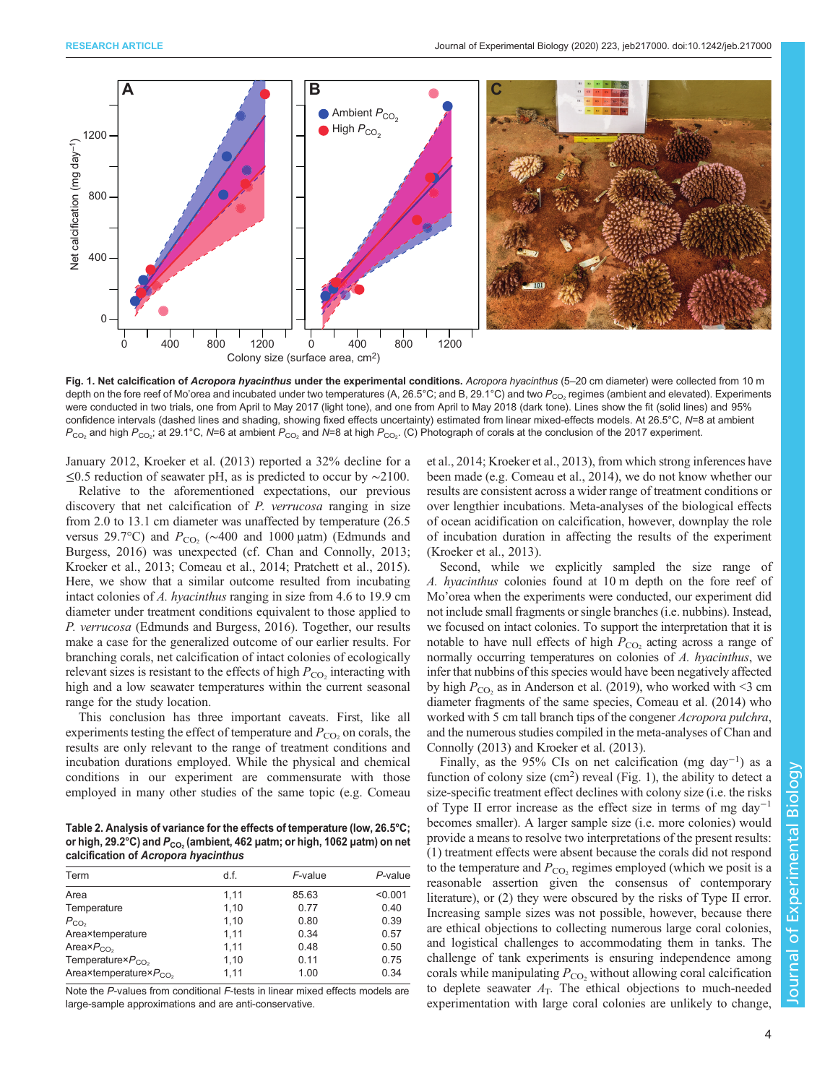<span id="page-3-0"></span>

Fig. 1. Net calcification of Acropora hyacinthus under the experimental conditions. Acropora hyacinthus (5-20 cm diameter) were collected from 10 m depth on the fore reef of Mo'orea and incubated under two temperatures (A, 26.5°C; and B, 29.1°C) and two  $P_{CO}$  regimes (ambient and elevated). Experiments were conducted in two trials, one from April to May 2017 (light tone), and one from April to May 2018 (dark tone). Lines show the fit (solid lines) and 95% confidence intervals (dashed lines and shading, showing fixed effects uncertainty) estimated from linear mixed-effects models. At 26.5°C, N=8 at ambient  $P_{\rm CO_2}$  and high  $P_{\rm CO_2}$ ; at 29.1°C, N=6 at ambient  $P_{\rm CO_2}$  and N=8 at high  $P_{\rm CO_2}$ . (C) Photograph of corals at the conclusion of the 2017 experiment.

January 2012, [Kroeker et al. \(2013\)](#page-5-0) reported a 32% decline for a ≤0.5 reduction of seawater pH, as is predicted to occur by ∼2100.

Relative to the aforementioned expectations, our previous discovery that net calcification of P. verrucosa ranging in size from 2.0 to 13.1 cm diameter was unaffected by temperature (26.5 versus 29.7°C) and  $P_{CO_2}$  (∼400 and 1000 µatm) [\(Edmunds and](#page-5-0) [Burgess, 2016](#page-5-0)) was unexpected (cf. [Chan and Connolly, 2013](#page-5-0); [Kroeker et al., 2013](#page-5-0); [Comeau et al., 2014; Pratchett et al., 2015\)](#page-5-0). Here, we show that a similar outcome resulted from incubating intact colonies of A. hyacinthus ranging in size from 4.6 to 19.9 cm diameter under treatment conditions equivalent to those applied to P. verrucosa [\(Edmunds and Burgess, 2016\)](#page-5-0). Together, our results make a case for the generalized outcome of our earlier results. For branching corals, net calcification of intact colonies of ecologically relevant sizes is resistant to the effects of high  $P_{\text{CO}_2}$  interacting with high and a low seawater temperatures within the current seasonal range for the study location.

This conclusion has three important caveats. First, like all experiments testing the effect of temperature and  $P_{\rm CO}$ , on corals, the results are only relevant to the range of treatment conditions and incubation durations employed. While the physical and chemical conditions in our experiment are commensurate with those employed in many other studies of the same topic (e.g. [Comeau](#page-5-0)

Table 2. Analysis of variance for the effects of temperature (low, 26.5°C; or high, 29.2°C) and  $P_{CO_2}$  (ambient, 462 µatm; or high, 1062 µatm) on net calcification of Acropora hyacinthus

| Term                         | d.f. | F-value | $P$ -value |
|------------------------------|------|---------|------------|
| Area                         | 1.11 | 85.63   | < 0.001    |
| Temperature                  | 1,10 | 0.77    | 0.40       |
| $P_{CO2}$                    | 1.10 | 0.80    | 0.39       |
| Area×temperature             | 1.11 | 0.34    | 0.57       |
| Area $\times P_{CO_2}$       | 1.11 | 0.48    | 0.50       |
| Temperature $P_{CO_2}$       | 1,10 | 0.11    | 0.75       |
| Area×temperature× $P_{CO_2}$ | 1.11 | 1.00    | 0.34       |

Note the P-values from conditional F-tests in linear mixed effects models are large-sample approximations and are anti-conservative.

[et al., 2014; Kroeker et al., 2013\)](#page-5-0), from which strong inferences have been made (e.g. [Comeau et al., 2014](#page-5-0)), we do not know whether our results are consistent across a wider range of treatment conditions or over lengthier incubations. Meta-analyses of the biological effects of ocean acidification on calcification, however, downplay the role of incubation duration in affecting the results of the experiment [\(Kroeker et al., 2013\)](#page-5-0).

Second, while we explicitly sampled the size range of A. hyacinthus colonies found at 10 m depth on the fore reef of Mo'orea when the experiments were conducted, our experiment did not include small fragments or single branches (i.e. nubbins). Instead, we focused on intact colonies. To support the interpretation that it is notable to have null effects of high  $P_{\text{CO}_2}$  acting across a range of normally occurring temperatures on colonies of A. hyacinthus, we infer that nubbins of this species would have been negatively affected by high  $P_{\text{CO}_2}$  as in [Anderson et al. \(2019\)](#page-4-0), who worked with <3 cm diameter fragments of the same species, [Comeau et al. \(2014\)](#page-5-0) who worked with 5 cm tall branch tips of the congener *Acropora pulchra*, and the numerous studies compiled in the meta-analyses of [Chan and](#page-5-0) [Connolly \(2013\)](#page-5-0) and [Kroeker et al. \(2013\).](#page-5-0)

Finally, as the 95% CIs on net calcification (mg day<sup>-1</sup>) as a function of colony size  $(cm<sup>2</sup>)$  reveal (Fig. 1), the ability to detect a size-specific treatment effect declines with colony size (i.e. the risks of Type II error increase as the effect size in terms of mg day−<sup>1</sup> becomes smaller). A larger sample size (i.e. more colonies) would provide a means to resolve two interpretations of the present results: (1) treatment effects were absent because the corals did not respond to the temperature and  $P_{CO_2}$  regimes employed (which we posit is a reasonable assertion given the consensus of contemporary literature), or (2) they were obscured by the risks of Type II error. Increasing sample sizes was not possible, however, because there are ethical objections to collecting numerous large coral colonies, and logistical challenges to accommodating them in tanks. The challenge of tank experiments is ensuring independence among corals while manipulating  $P_{CO_2}$  without allowing coral calcification to deplete seawater  $A_T$ . The ethical objections to much-needed experimentation with large coral colonies are unlikely to change,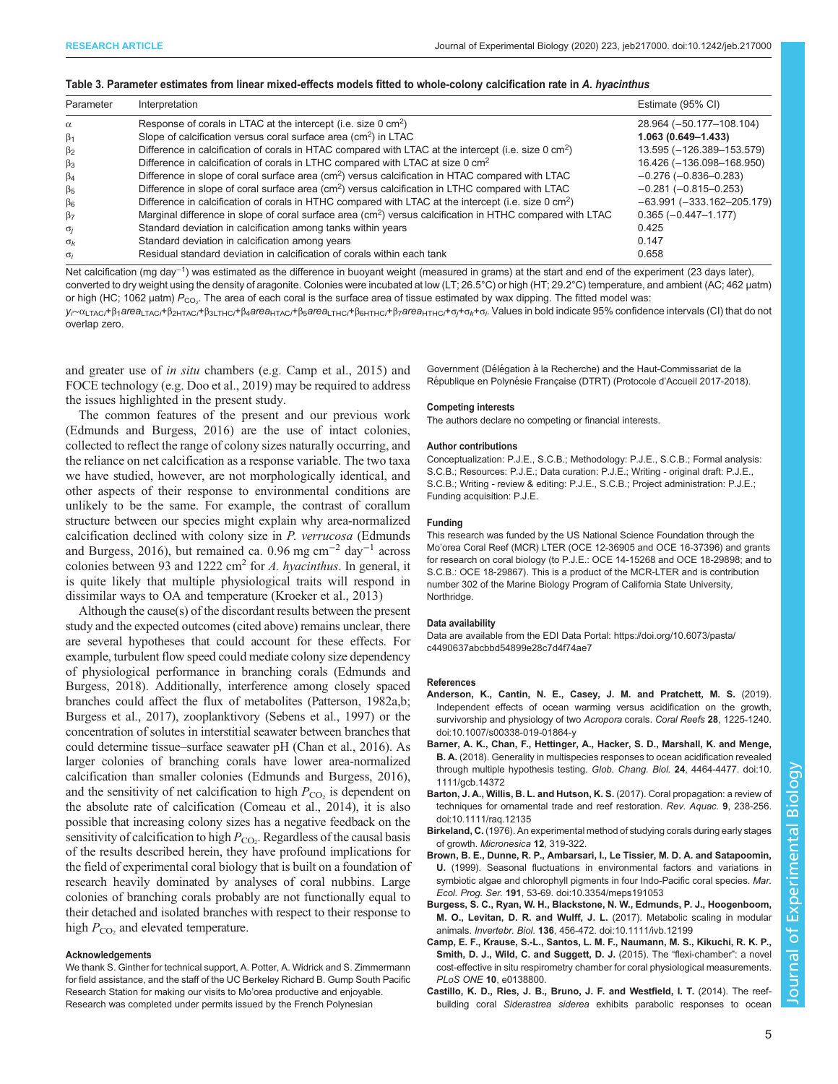## <span id="page-4-0"></span>Table 3. Parameter estimates from linear mixed-effects models fitted to whole-colony calcification rate in A. hyacinthus

| Parameter   | Interpretation                                                                                                        | Estimate (95% CI)              |
|-------------|-----------------------------------------------------------------------------------------------------------------------|--------------------------------|
| $\alpha$    | Response of corals in LTAC at the intercept (i.e. size 0 cm <sup>2</sup> )                                            | 28.964 (-50.177-108.104)       |
| $\beta_1$   | Slope of calcification versus coral surface area $\text{(cm}^2\text{)}$ in LTAC                                       | $1.063(0.649 - 1.433)$         |
| $\beta_2$   | Difference in calcification of corals in HTAC compared with LTAC at the intercept (i.e. size 0 cm <sup>2</sup> )      | 13.595 (-126.389-153.579)      |
| $\beta_3$   | Difference in calcification of corals in LTHC compared with LTAC at size 0 cm <sup>2</sup>                            | 16.426 (-136.098-168.950)      |
| $\beta_4$   | Difference in slope of coral surface area (cm <sup>2</sup> ) versus calcification in HTAC compared with LTAC          | $-0.276(-0.836-0.283)$         |
| $\beta_{5}$ | Difference in slope of coral surface area (cm <sup>2</sup> ) versus calcification in LTHC compared with LTAC          | $-0.281(-0.815-0.253)$         |
| $\beta_6$   | Difference in calcification of corals in HTHC compared with LTAC at the intercept (i.e. size 0 cm <sup>2</sup> )      | $-63.991 (-333.162 - 205.179)$ |
| $\beta$     | Marginal difference in slope of coral surface area (cm <sup>2</sup> ) versus calcification in HTHC compared with LTAC | $0.365(-0.447-1.177)$          |
| $\sigma_i$  | Standard deviation in calcification among tanks within years                                                          | 0.425                          |
| $\sigma_k$  | Standard deviation in calcification among years                                                                       | 0.147                          |
| $\sigma_i$  | Residual standard deviation in calcification of corals within each tank                                               | 0.658                          |

Net calcification (mg day<sup>-1</sup>) was estimated as the difference in buoyant weight (measured in grams) at the start and end of the experiment (23 days later), converted to dry weight using the density of aragonite. Colonies were incubated at low (LT; 26.5°C) or high (HT; 29.2°C) temperature, and ambient (AC; 462 µatm) or high (HC; 1062 µatm)  $P_{\rm CO_2}$ . The area of each coral is the surface area of tissue estimated by wax dipping. The fitted model was:

y<sub>r∼</sub>α<sub>LTACi</sub>+β<sub>1</sub>area<sub>LTACi</sub>+β<sub>2HTACi</sub>+β<sub>3LTHCi</sub>+β<sub>4</sub>area<sub>HTACi</sub>+β<sub>6</sub>area<sub>LTHCi</sub>+β<sub>6HTHCi</sub>+β<sub>7</sub>area<sub>HTHCi</sub>+σ<sub>i</sub>+σ<sub>i</sub>+σ<sub>i</sub>+σ<sub>i</sub> values in bold indicate 95% confidence intervals (CI) that do not overlap zero.

and greater use of in situ chambers (e.g. Camp et al., 2015) and FOCE technology (e.g. [Doo et al., 2019\)](#page-5-0) may be required to address the issues highlighted in the present study.

The common features of the present and our previous work [\(Edmunds and Burgess, 2016\)](#page-5-0) are the use of intact colonies, collected to reflect the range of colony sizes naturally occurring, and the reliance on net calcification as a response variable. The two taxa we have studied, however, are not morphologically identical, and other aspects of their response to environmental conditions are unlikely to be the same. For example, the contrast of corallum structure between our species might explain why area-normalized calcification declined with colony size in P. verrucosa [\(Edmunds](#page-5-0) [and Burgess, 2016\)](#page-5-0), but remained ca. 0.96 mg cm<sup>-2</sup> day<sup>-1</sup> across colonies between 93 and 1222 cm<sup>2</sup> for A. hyacinthus. In general, it is quite likely that multiple physiological traits will respond in dissimilar ways to OA and temperature [\(Kroeker et al., 2013\)](#page-5-0)

Although the cause(s) of the discordant results between the present study and the expected outcomes (cited above) remains unclear, there are several hypotheses that could account for these effects. For example, turbulent flow speed could mediate colony size dependency of physiological performance in branching corals [\(Edmunds and](#page-5-0) [Burgess, 2018](#page-5-0)). Additionally, interference among closely spaced branches could affect the flux of metabolites ([Patterson, 1982a](#page-5-0),[b](#page-5-0); Burgess et al., 2017), zooplanktivory ([Sebens et al., 1997\)](#page-5-0) or the concentration of solutes in interstitial seawater between branches that could determine tissue–surface seawater pH [\(Chan et al., 2016](#page-5-0)). As larger colonies of branching corals have lower area-normalized calcification than smaller colonies [\(Edmunds and Burgess, 2016\)](#page-5-0), and the sensitivity of net calcification to high  $P_{CO<sub>2</sub>}$  is dependent on the absolute rate of calcification [\(Comeau et al., 2014](#page-5-0)), it is also possible that increasing colony sizes has a negative feedback on the sensitivity of calcification to high  $P_{\text{CO}_2}$ . Regardless of the causal basis of the results described herein, they have profound implications for the field of experimental coral biology that is built on a foundation of research heavily dominated by analyses of coral nubbins. Large colonies of branching corals probably are not functionally equal to their detached and isolated branches with respect to their response to high  $P_{CO<sub>2</sub>}$  and elevated temperature.

### Acknowledgements

We thank S. Ginther for technical support, A. Potter, A. Widrick and S. Zimmermann for field assistance, and the staff of the UC Berkeley Richard B. Gump South Pacific Research Station for making our visits to Mo'orea productive and enjoyable. Research was completed under permits issued by the French Polynesian

Government (Délégation à la Recherche) and the Haut-Commissariat de la République en Polynésie Française (DTRT) (Protocole d'Accueil 2017-2018).

#### Competing interests

The authors declare no competing or financial interests.

#### Author contributions

Conceptualization: P.J.E., S.C.B.; Methodology: P.J.E., S.C.B.; Formal analysis: S.C.B.; Resources: P.J.E.; Data curation: P.J.E.; Writing - original draft: P.J.E., S.C.B.; Writing - review & editing: P.J.E., S.C.B.; Project administration: P.J.E.; Funding acquisition: P.J.E.

#### Funding

This research was funded by the US National Science Foundation through the Mo'orea Coral Reef (MCR) LTER (OCE 12-36905 and OCE 16-37396) and grants for research on coral biology (to P.J.E.: OCE 14-15268 and OCE 18-29898; and to S.C.B.: OCE 18-29867). This is a product of the MCR-LTER and is contribution number 302 of the Marine Biology Program of California State University, Northridge.

### Data availability

Data are available from the EDI Data Portal: [https://doi.org/10.6073/pasta/](https://doi.org/10.6073/pasta/c4490637abcbbd54899e28c7d4f74ae7) [c4490637abcbbd54899e28c7d4f74ae7](https://doi.org/10.6073/pasta/c4490637abcbbd54899e28c7d4f74ae7)

## References

- [Anderson, K., Cantin, N. E., Casey, J. M. and Pratchett, M. S.](https://doi.org/10.1007/s00338-019-01864-y) (2019). [Independent effects of ocean warming versus acidification on the growth,](https://doi.org/10.1007/s00338-019-01864-y) [survivorship and physiology of two](https://doi.org/10.1007/s00338-019-01864-y) Acropora corals. Coral Reefs 28, 1225-1240. [doi:10.1007/s00338-019-01864-y](https://doi.org/10.1007/s00338-019-01864-y)
- [Barner, A. K., Chan, F., Hettinger, A., Hacker, S. D., Marshall, K. and Menge,](https://doi.org/10.1111/gcb.14372) B. A. [\(2018\). Generality in multispecies responses to ocean acidification revealed](https://doi.org/10.1111/gcb.14372) [through multiple hypothesis testing.](https://doi.org/10.1111/gcb.14372) Glob. Chang. Biol. 24, 4464-4477. doi:10. [1111/gcb.14372](https://doi.org/10.1111/gcb.14372)
- [Barton, J. A., Willis, B. L. and Hutson, K. S.](https://doi.org/10.1111/raq.12135) (2017). Coral propagation: a review of [techniques for ornamental trade and reef restoration.](https://doi.org/10.1111/raq.12135) Rev. Aquac. 9, 238-256. [doi:10.1111/raq.12135](https://doi.org/10.1111/raq.12135)
- Birkeland, C. (1976). An experimental method of studying corals during early stages of growth. Micronesica 12, 319-322.
- [Brown, B. E., Dunne, R. P., Ambarsari, I., Le Tissier, M. D. A. and Satapoomin,](https://doi.org/10.3354/meps191053) U. [\(1999\). Seasonal fluctuations in environmental factors and variations in](https://doi.org/10.3354/meps191053) [symbiotic algae and chlorophyll pigments in four Indo-Pacific coral species.](https://doi.org/10.3354/meps191053) Mar. Ecol. Prog. Ser. 191[, 53-69. doi:10.3354/meps191053](https://doi.org/10.3354/meps191053)
- [Burgess, S. C., Ryan, W. H., Blackstone, N. W., Edmunds, P. J., Hoogenboom,](https://doi.org/10.1111/ivb.12199) [M. O., Levitan, D. R. and Wulff, J. L.](https://doi.org/10.1111/ivb.12199) (2017). Metabolic scaling in modular animals. Invertebr. Biol. 136[, 456-472. doi:10.1111/ivb.12199](https://doi.org/10.1111/ivb.12199)
- Camp, E. F., Krause, S.-L., Santos, L. M. F., Naumann, M. S., Kikuchi, R. K. P., Smith, D. J., Wild, C. and Suggett, D. J. (2015). The "flexi-chamber": a novel cost-effective in situ respirometry chamber for coral physiological measurements. PLoS ONE 10, e0138800.
- [Castillo, K. D., Ries, J. B., Bruno, J. F. and Westfield, I. T.](https://doi.org/10.1098/rspb.2014.1856) (2014). The reefbuilding coral Siderastrea siderea [exhibits parabolic responses to ocean](https://doi.org/10.1098/rspb.2014.1856)